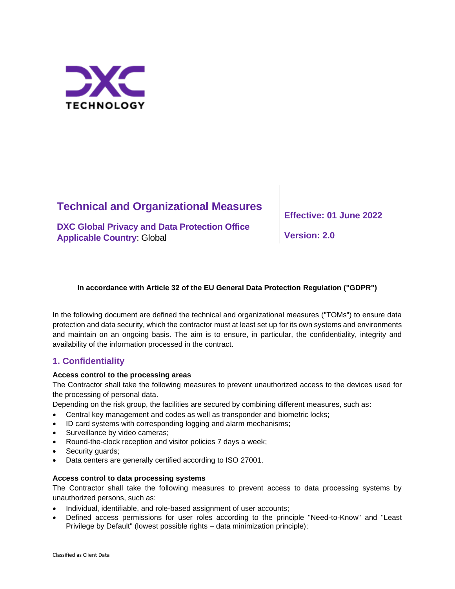

# **Technical and Organizational Measures**

**DXC Global Privacy and Data Protection Office Applicable Country**: Global

**Effective: 01 June 2022**

**Version: 2.0**

### **In accordance with Article 32 of the EU General Data Protection Regulation ("GDPR")**

In the following document are defined the technical and organizational measures ("TOMs") to ensure data protection and data security, which the contractor must at least set up for its own systems and environments and maintain on an ongoing basis. The aim is to ensure, in particular, the confidentiality, integrity and availability of the information processed in the contract.

# **1. Confidentiality**

### **Access control to the processing areas**

The Contractor shall take the following measures to prevent unauthorized access to the devices used for the processing of personal data.

Depending on the risk group, the facilities are secured by combining different measures, such as:

- Central key management and codes as well as transponder and biometric locks;
- ID card systems with corresponding logging and alarm mechanisms;
- Surveillance by video cameras;
- Round-the-clock reception and visitor policies 7 days a week;
- Security quards;
- Data centers are generally certified according to ISO 27001.

### **Access control to data processing systems**

The Contractor shall take the following measures to prevent access to data processing systems by unauthorized persons, such as:

- Individual, identifiable, and role-based assignment of user accounts;
- Defined access permissions for user roles according to the principle "Need-to-Know" and "Least Privilege by Default" (lowest possible rights – data minimization principle);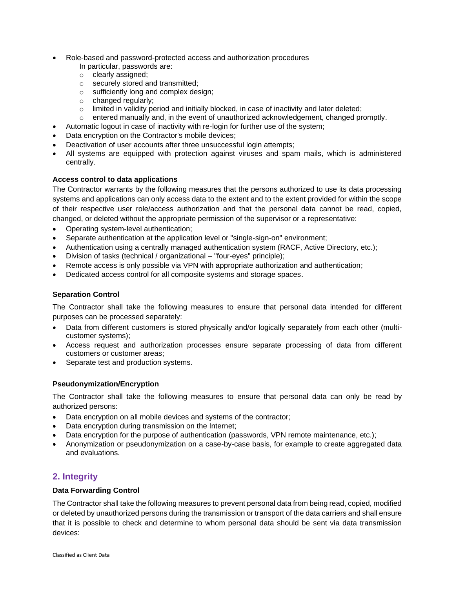- Role-based and password-protected access and authorization procedures In particular, passwords are:
	- o clearly assigned;
	- o securely stored and transmitted;
	- o sufficiently long and complex design;
	- o changed regularly;
	- $\circ$  limited in validity period and initially blocked, in case of inactivity and later deleted;
	- $\circ$  entered manually and, in the event of unauthorized acknowledgement, changed promptly.
- Automatic logout in case of inactivity with re-login for further use of the system;
- Data encryption on the Contractor's mobile devices;
- Deactivation of user accounts after three unsuccessful login attempts;
- All systems are equipped with protection against viruses and spam mails, which is administered centrally.

### **Access control to data applications**

The Contractor warrants by the following measures that the persons authorized to use its data processing systems and applications can only access data to the extent and to the extent provided for within the scope of their respective user role/access authorization and that the personal data cannot be read, copied, changed, or deleted without the appropriate permission of the supervisor or a representative:

- Operating system-level authentication;
- Separate authentication at the application level or "single-sign-on" environment;
- Authentication using a centrally managed authentication system (RACF, Active Directory, etc.);
- Division of tasks (technical / organizational "four-eyes" principle);
- Remote access is only possible via VPN with appropriate authorization and authentication;
- Dedicated access control for all composite systems and storage spaces.

### **Separation Control**

The Contractor shall take the following measures to ensure that personal data intended for different purposes can be processed separately:

- Data from different customers is stored physically and/or logically separately from each other (multicustomer systems);
- Access request and authorization processes ensure separate processing of data from different customers or customer areas;
- Separate test and production systems.

### **Pseudonymization/Encryption**

The Contractor shall take the following measures to ensure that personal data can only be read by authorized persons:

- Data encryption on all mobile devices and systems of the contractor;
- Data encryption during transmission on the Internet;
- Data encryption for the purpose of authentication (passwords, VPN remote maintenance, etc.);
- Anonymization or pseudonymization on a case-by-case basis, for example to create aggregated data and evaluations.

### **2. Integrity**

### **Data Forwarding Control**

The Contractor shall take the following measures to prevent personal data from being read, copied, modified or deleted by unauthorized persons during the transmission or transport of the data carriers and shall ensure that it is possible to check and determine to whom personal data should be sent via data transmission devices: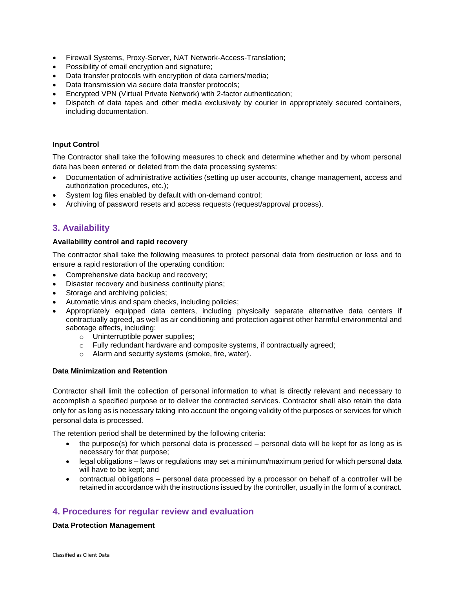- Firewall Systems, Proxy-Server, NAT Network-Access-Translation;
- Possibility of email encryption and signature;
- Data transfer protocols with encryption of data carriers/media;
- Data transmission via secure data transfer protocols;
- Encrypted VPN (Virtual Private Network) with 2-factor authentication;
- Dispatch of data tapes and other media exclusively by courier in appropriately secured containers, including documentation.

### **Input Control**

The Contractor shall take the following measures to check and determine whether and by whom personal data has been entered or deleted from the data processing systems:

- Documentation of administrative activities (setting up user accounts, change management, access and authorization procedures, etc.);
- System log files enabled by default with on-demand control;
- Archiving of password resets and access requests (request/approval process).

### **3. Availability**

### **Availability control and rapid recovery**

The contractor shall take the following measures to protect personal data from destruction or loss and to ensure a rapid restoration of the operating condition:

- Comprehensive data backup and recovery;
- Disaster recovery and business continuity plans;
- Storage and archiving policies;
- Automatic virus and spam checks, including policies;
- Appropriately equipped data centers, including physically separate alternative data centers if contractually agreed, as well as air conditioning and protection against other harmful environmental and sabotage effects, including:
	- o Uninterruptible power supplies;
	- o Fully redundant hardware and composite systems, if contractually agreed;
	- o Alarm and security systems (smoke, fire, water).

### **Data Minimization and Retention**

Contractor shall limit the collection of personal information to what is directly relevant and necessary to accomplish a specified purpose or to deliver the contracted services. Contractor shall also retain the data only for as long as is necessary taking into account the ongoing validity of the purposes or services for which personal data is processed.

The retention period shall be determined by the following criteria:

- the purpose(s) for which personal data is processed personal data will be kept for as long as is necessary for that purpose;
- legal obligations laws or regulations may set a minimum/maximum period for which personal data will have to be kept; and
- contractual obligations personal data processed by a processor on behalf of a controller will be retained in accordance with the instructions issued by the controller, usually in the form of a contract.

### **4. Procedures for regular review and evaluation**

### **Data Protection Management**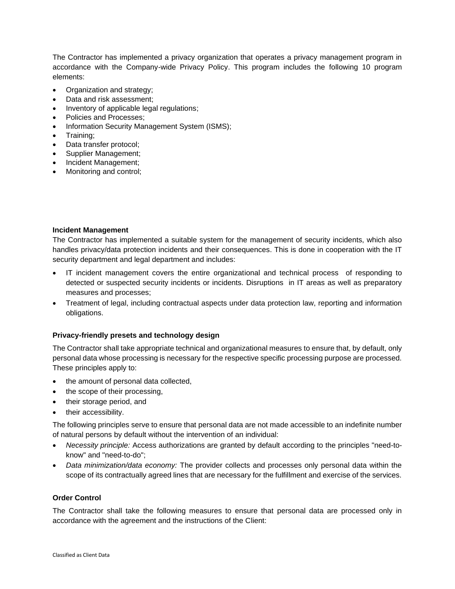The Contractor has implemented a privacy organization that operates a privacy management program in accordance with the Company-wide Privacy Policy. This program includes the following 10 program elements:

- Organization and strategy;
- Data and risk assessment;
- Inventory of applicable legal regulations;
- Policies and Processes;
- Information Security Management System (ISMS);
- Training;
- Data transfer protocol;
- Supplier Management;
- Incident Management;
- Monitoring and control;

### **Incident Management**

The Contractor has implemented a suitable system for the management of security incidents, which also handles privacy/data protection incidents and their consequences. This is done in cooperation with the IT security department and legal department and includes:

- IT incident management covers the entire organizational and technical [process](https://de.wikipedia.org/wiki/Gesch%C3%A4ftsprozess) of responding to detected or suspected security [incidents](https://de.wikipedia.org/wiki/Sicherheit) or incidents. [Disruptions](https://de.wikipedia.org/wiki/St%C3%B6rung) in IT areas as well as preparatory measures and processes;
- Treatment of legal, including contractual aspects under data protection law, reporting and information obligations.

### **Privacy-friendly presets and technology design**

The Contractor shall take appropriate technical and organizational measures to ensure that, by default, only personal data whose processing is necessary for the respective specific processing purpose are processed. These principles apply to:

- the amount of personal data collected,
- the scope of their processing,
- their storage period, and
- their accessibility.

The following principles serve to ensure that personal data are not made accessible to an indefinite number of natural persons by default without the intervention of an individual:

- *Necessity principle:* Access authorizations are granted by default according to the principles "need-toknow" and "need-to-do";
- *Data minimization/data economy:* The provider collects and processes only personal data within the scope of its contractually agreed lines that are necessary for the fulfillment and exercise of the services.

### **Order Control**

The Contractor shall take the following measures to ensure that personal data are processed only in accordance with the agreement and the instructions of the Client: